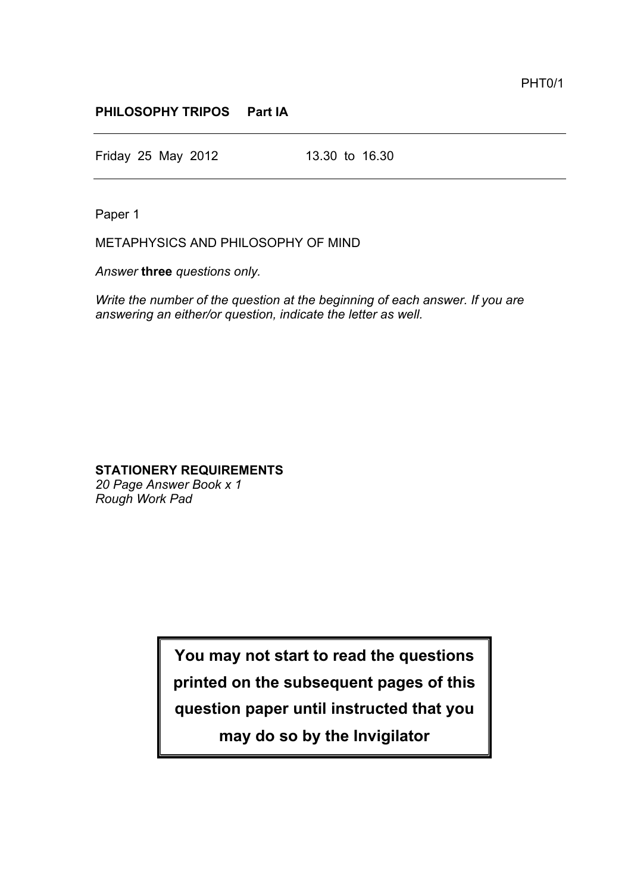## **PHILOSOPHY TRIPOS Part IA**

Friday 25 May 2012 13.30 to 16.30

Paper 1

METAPHYSICS AND PHILOSOPHY OF MIND

*Answer* **three** *questions only.*

*Write the number of the question at the beginning of each answer. If you are answering an either/or question, indicate the letter as well.*

## **STATIONERY REQUIREMENTS**

*20 Page Answer Book x 1 Rough Work Pad*

> **You may not start to read the questions printed on the subsequent pages of this question paper until instructed that you may do so by the Invigilator**